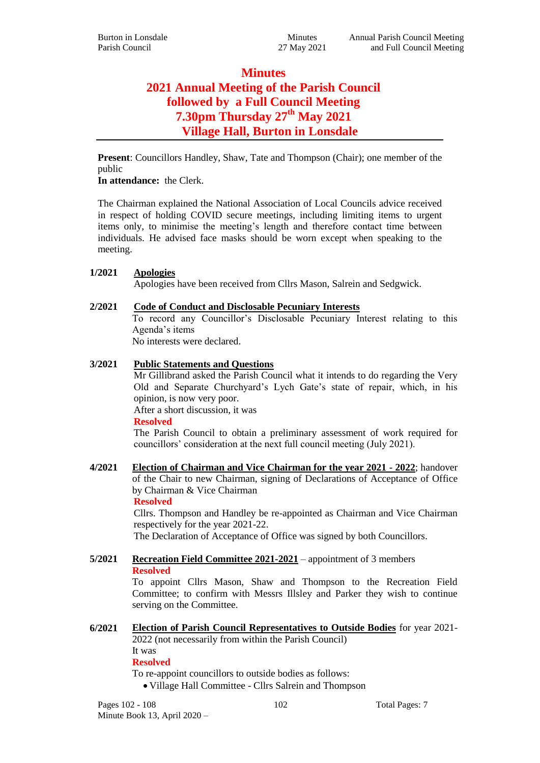# **Minutes 2021 Annual Meeting of the Parish Council followed by a Full Council Meeting 7.30pm Thursday 27th May 2021 Village Hall, Burton in Lonsdale**

**Present**: Councillors Handley, Shaw, Tate and Thompson (Chair); one member of the public

**In attendance:** the Clerk.

The Chairman explained the National Association of Local Councils advice received in respect of holding COVID secure meetings, including limiting items to urgent items only, to minimise the meeting's length and therefore contact time between individuals. He advised face masks should be worn except when speaking to the meeting.

# **1/2021 Apologies**

Apologies have been received from Cllrs Mason, Salrein and Sedgwick.

# **2/2021 Code of Conduct and Disclosable Pecuniary Interests**

To record any Councillor's Disclosable Pecuniary Interest relating to this Agenda's items

No interests were declared.

# **3/2021 Public Statements and Questions**

Mr Gillibrand asked the Parish Council what it intends to do regarding the Very Old and Separate Churchyard's Lych Gate's state of repair, which, in his opinion, is now very poor.

After a short discussion, it was

# **Resolved**

The Parish Council to obtain a preliminary assessment of work required for councillors' consideration at the next full council meeting (July 2021).

**4/2021 Election of Chairman and Vice Chairman for the year 2021 - 2022**; handover of the Chair to new Chairman, signing of Declarations of Acceptance of Office by Chairman & Vice Chairman

**Resolved**

Cllrs. Thompson and Handley be re-appointed as Chairman and Vice Chairman respectively for the year 2021-22.

The Declaration of Acceptance of Office was signed by both Councillors.

**5/2021 Recreation Field Committee 2021-2021** – appointment of 3 members **Resolved**

To appoint Cllrs Mason, Shaw and Thompson to the Recreation Field Committee; to confirm with Messrs Illsley and Parker they wish to continue serving on the Committee.

**6/2021 Election of Parish Council Representatives to Outside Bodies** for year 2021- 2022 (not necessarily from within the Parish Council)

It was

**Resolved**

To re-appoint councillors to outside bodies as follows:

Village Hall Committee - Cllrs Salrein and Thompson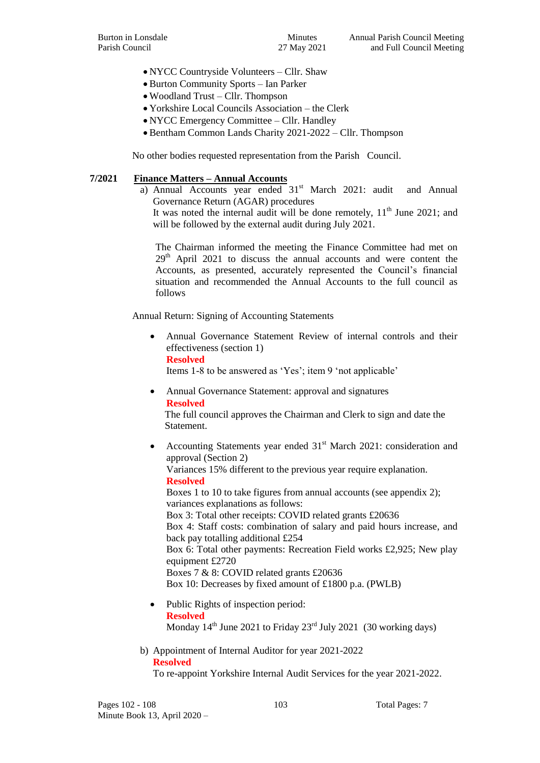- NYCC Countryside Volunteers Cllr. Shaw
- Burton Community Sports Ian Parker
- Woodland Trust Cllr. Thompson
- Yorkshire Local Councils Association the Clerk
- NYCC Emergency Committee Cllr. Handley
- Bentham Common Lands Charity 2021-2022 Cllr. Thompson

No other bodies requested representation from the Parish Council.

#### **7/2021 Finance Matters – Annual Accounts**

a) Annual Accounts year ended  $31^{st}$  March 2021: audit and Annual Governance Return (AGAR) procedures

It was noted the internal audit will be done remotely,  $11<sup>th</sup>$  June 2021; and will be followed by the external audit during July 2021.

The Chairman informed the meeting the Finance Committee had met on 29<sup>th</sup> April 2021 to discuss the annual accounts and were content the Accounts, as presented, accurately represented the Council's financial situation and recommended the Annual Accounts to the full council as follows

Annual Return: Signing of Accounting Statements

 Annual Governance Statement Review of internal controls and their effectiveness (section 1) **Resolved**

Items 1-8 to be answered as 'Yes'; item 9 'not applicable'

 Annual Governance Statement: approval and signatures **Resolved** The full council approves the Chairman and Clerk to sign and date the

Statement.

Accounting Statements year ended 31<sup>st</sup> March 2021: consideration and approval (Section 2) Variances 15% different to the previous year require explanation.

**Resolved**

Boxes 1 to 10 to take figures from annual accounts (see appendix 2); variances explanations as follows: Box 3: Total other receipts: COVID related grants £20636 Box 4: Staff costs: combination of salary and paid hours increase, and back pay totalling additional £254 Box 6: Total other payments: Recreation Field works £2,925; New play equipment £2720 Boxes 7 & 8: COVID related grants £20636 Box 10: Decreases by fixed amount of £1800 p.a. (PWLB)

- Public Rights of inspection period: **Resolved** Monday  $14<sup>th</sup>$  June 2021 to Friday 23<sup>rd</sup> July 2021 (30 working days)
- b) Appointment of Internal Auditor for year 2021-2022 **Resolved**

To re-appoint Yorkshire Internal Audit Services for the year 2021-2022.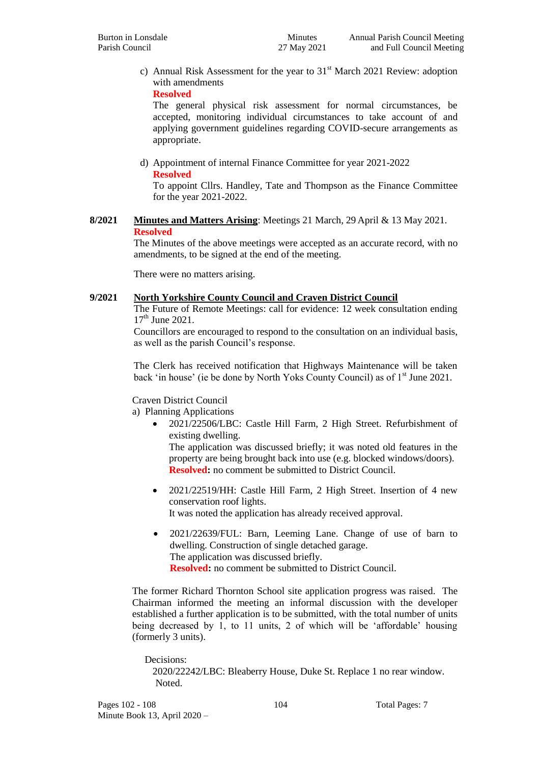c) Annual Risk Assessment for the year to  $31<sup>st</sup>$  March 2021 Review: adoption with amendments

**Resolved**

The general physical risk assessment for normal circumstances, be accepted, monitoring individual circumstances to take account of and applying government guidelines regarding COVID-secure arrangements as appropriate.

d) Appointment of internal Finance Committee for year 2021-2022 **Resolved**

To appoint Cllrs. Handley, Tate and Thompson as the Finance Committee for the year 2021-2022.

#### **8/2021 Minutes and Matters Arising**: Meetings 21 March, 29 April & 13 May 2021. **Resolved**

The Minutes of the above meetings were accepted as an accurate record, with no amendments, to be signed at the end of the meeting.

There were no matters arising.

#### **9/2021 North Yorkshire County Council and Craven District Council**

The Future of Remote Meetings: call for evidence: 12 week consultation ending  $17^{th}$  June 2021.

Councillors are encouraged to respond to the consultation on an individual basis, as well as the parish Council's response.

The Clerk has received notification that Highways Maintenance will be taken back 'in house' (ie be done by North Yoks County Council) as of 1<sup>st</sup> June 2021.

# Craven District Council

a) Planning Applications

 2021/22506/LBC: Castle Hill Farm, 2 High Street. Refurbishment of existing dwelling.

The application was discussed briefly; it was noted old features in the property are being brought back into use (e.g. blocked windows/doors). **Resolved:** no comment be submitted to District Council.

- 2021/22519/HH: Castle Hill Farm, 2 High Street. Insertion of 4 new conservation roof lights. It was noted the application has already received approval.
- 2021/22639/FUL: Barn, Leeming Lane. Change of use of barn to dwelling. Construction of single detached garage. The application was discussed briefly. **Resolved:** no comment be submitted to District Council.

The former Richard Thornton School site application progress was raised. The Chairman informed the meeting an informal discussion with the developer established a further application is to be submitted, with the total number of units being decreased by 1, to 11 units, 2 of which will be 'affordable' housing (formerly 3 units).

 Decisions: 2020/22242/LBC: Bleaberry House, Duke St. Replace 1 no rear window. Noted.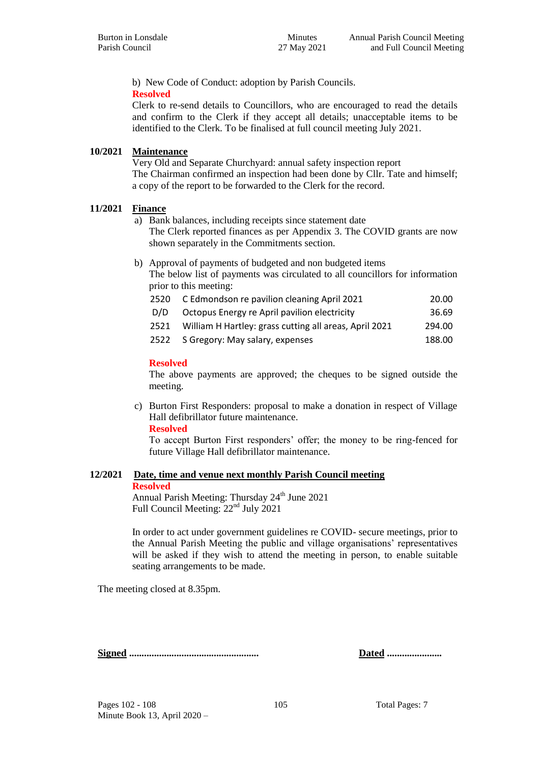b) New Code of Conduct: adoption by Parish Councils.

#### **Resolved**

Clerk to re-send details to Councillors, who are encouraged to read the details and confirm to the Clerk if they accept all details; unacceptable items to be identified to the Clerk. To be finalised at full council meeting July 2021.

#### **10/2021 Maintenance**

Very Old and Separate Churchyard: annual safety inspection report The Chairman confirmed an inspection had been done by Cllr. Tate and himself; a copy of the report to be forwarded to the Clerk for the record.

#### **11/2021 Finance**

a) Bank balances, including receipts since statement date The Clerk reported finances as per Appendix 3. The COVID grants are now shown separately in the Commitments section.

b) Approval of payments of budgeted and non budgeted items The below list of payments was circulated to all councillors for information prior to this meeting:

|      | 2520 C Edmondson re pavilion cleaning April 2021       | 20.00  |
|------|--------------------------------------------------------|--------|
| D/D  | Octopus Energy re April pavilion electricity           | 36.69  |
| 2521 | William H Hartley: grass cutting all areas, April 2021 | 294.00 |
| 2522 | S Gregory: May salary, expenses                        | 188.00 |

#### **Resolved**

The above payments are approved; the cheques to be signed outside the meeting.

c) Burton First Responders: proposal to make a donation in respect of Village Hall defibrillator future maintenance.

#### **Resolved**

To accept Burton First responders' offer; the money to be ring-fenced for future Village Hall defibrillator maintenance.

#### **12/2021 Date, time and venue next monthly Parish Council meeting**

#### **Resolved**

Annual Parish Meeting: Thursday  $24<sup>th</sup>$  June 2021 Full Council Meeting:  $22<sup>nd</sup>$  July 2021

In order to act under government guidelines re COVID- secure meetings, prior to the Annual Parish Meeting the public and village organisations' representatives will be asked if they wish to attend the meeting in person, to enable suitable seating arrangements to be made.

The meeting closed at 8.35pm.

**Signed .................................................... Dated ......................**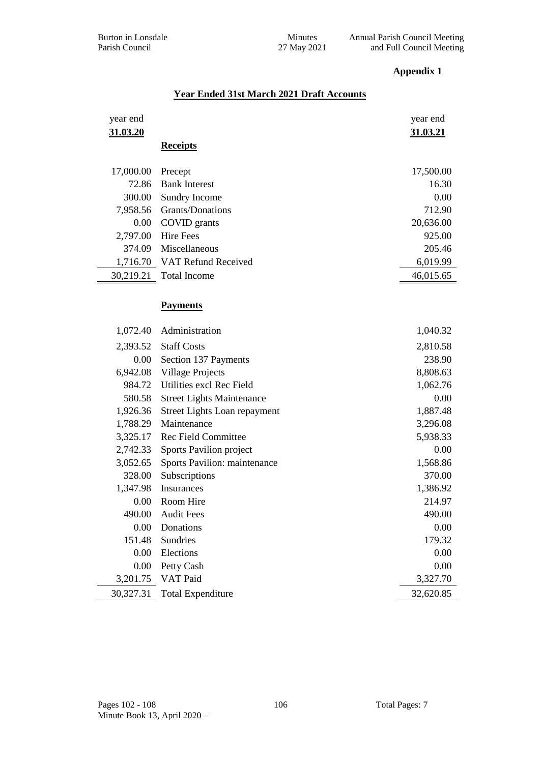# **Appendix 1**

# **Year Ended 31st March 2021 Draft Accounts**

| year end  |                                  | year end  |
|-----------|----------------------------------|-----------|
| 31.03.20  |                                  | 31.03.21  |
|           | <b>Receipts</b>                  |           |
| 17,000.00 | Precept                          | 17,500.00 |
| 72.86     | <b>Bank Interest</b>             | 16.30     |
| 300.00    | Sundry Income                    | 0.00      |
| 7,958.56  | Grants/Donations                 | 712.90    |
| 0.00      | COVID grants                     | 20,636.00 |
| 2,797.00  | <b>Hire Fees</b>                 | 925.00    |
| 374.09    | Miscellaneous                    | 205.46    |
|           | 1,716.70 VAT Refund Received     | 6,019.99  |
| 30,219.21 | <b>Total Income</b>              | 46,015.65 |
|           |                                  |           |
|           | <b>Payments</b>                  |           |
|           |                                  |           |
| 1,072.40  | Administration                   | 1,040.32  |
| 2,393.52  | <b>Staff Costs</b>               | 2,810.58  |
| $0.00\,$  | Section 137 Payments             | 238.90    |
| 6,942.08  | <b>Village Projects</b>          | 8,808.63  |
| 984.72    | Utilities excl Rec Field         | 1,062.76  |
| 580.58    | <b>Street Lights Maintenance</b> | 0.00      |
| 1,926.36  | Street Lights Loan repayment     | 1,887.48  |
| 1,788.29  | Maintenance                      | 3,296.08  |
| 3,325.17  | <b>Rec Field Committee</b>       | 5,938.33  |
| 2,742.33  | Sports Pavilion project          | 0.00      |
| 3,052.65  | Sports Pavilion: maintenance     | 1,568.86  |
| 328.00    | Subscriptions                    | 370.00    |
| 1,347.98  | Insurances                       | 1,386.92  |
| 0.00      | Room Hire                        | 214.97    |
| 490.00    | <b>Audit Fees</b>                | 490.00    |
| 0.00      | Donations                        | 0.00      |
| 151.48    | <b>Sundries</b>                  | 179.32    |
| 0.00      | Elections                        | 0.00      |
| 0.00      | Petty Cash                       | 0.00      |
| 3,201.75  | VAT Paid                         | 3,327.70  |
| 30,327.31 | <b>Total Expenditure</b>         | 32,620.85 |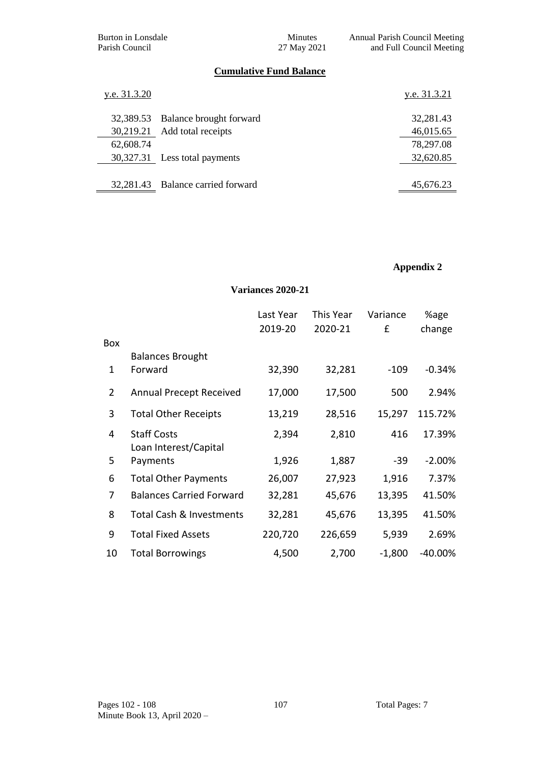Burton in Lonsdale Minutes Annual Parish Council Meeting Parish Council 27 May 2021 and Full Council Meeting

# **Cumulative Fund Balance**

| y.e. 31.3.20 |                                   | y.e. 31.3.21 |
|--------------|-----------------------------------|--------------|
|              | 32,389.53 Balance brought forward | 32,281.43    |
|              | 30,219.21 Add total receipts      | 46,015.65    |
| 62,608.74    |                                   | 78,297.08    |
|              | 30,327.31 Less total payments     | 32,620.85    |
|              |                                   |              |
|              | 32,281.43 Balance carried forward | 45,676.23    |

# **Appendix 2**

#### **Variances 2020-21**

|              |                                             | Last Year | This Year | Variance | %age      |
|--------------|---------------------------------------------|-----------|-----------|----------|-----------|
|              |                                             | 2019-20   | 2020-21   | £        | change    |
| Box          |                                             |           |           |          |           |
|              | <b>Balances Brought</b>                     |           |           |          |           |
| $\mathbf{1}$ | Forward                                     | 32,390    | 32,281    | $-109$   | $-0.34%$  |
| 2            | <b>Annual Precept Received</b>              | 17,000    | 17,500    | 500      | 2.94%     |
| 3            | <b>Total Other Receipts</b>                 | 13,219    | 28,516    | 15,297   | 115.72%   |
| 4            | <b>Staff Costs</b><br>Loan Interest/Capital | 2,394     | 2,810     | 416      | 17.39%    |
| 5            | Payments                                    | 1,926     | 1,887     | $-39$    | $-2.00%$  |
| 6            | <b>Total Other Payments</b>                 | 26,007    | 27,923    | 1,916    | 7.37%     |
| 7            | <b>Balances Carried Forward</b>             | 32,281    | 45,676    | 13,395   | 41.50%    |
| 8            | Total Cash & Investments                    | 32,281    | 45,676    | 13,395   | 41.50%    |
| 9            | <b>Total Fixed Assets</b>                   | 220,720   | 226,659   | 5,939    | 2.69%     |
| 10           | <b>Total Borrowings</b>                     | 4,500     | 2,700     | $-1,800$ | $-40.00%$ |